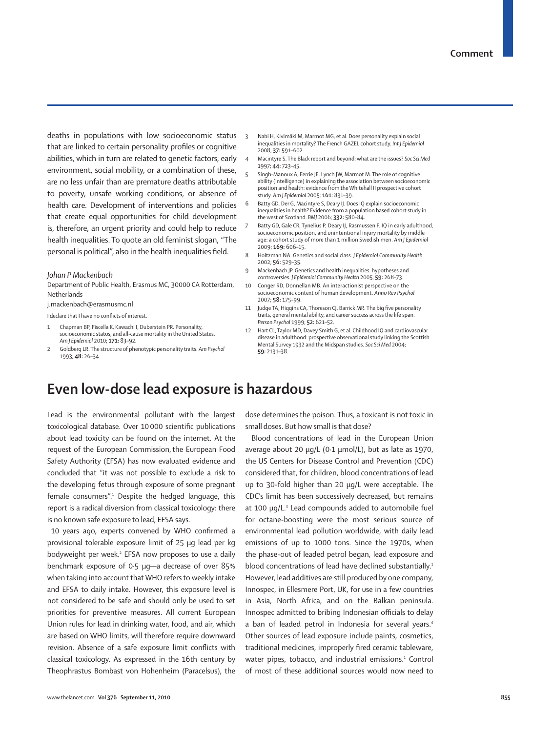deaths in populations with low socioeconomic status that are linked to certain personality profiles or cognitive abilities, which in turn are related to genetic factors, early environment, social mobility, or a combination of these, are no less unfair than are premature deaths attributable to poverty, unsafe working conditions, or absence of health care. Development of interventions and policies that create equal opportunities for child development is, therefore, an urgent priority and could help to reduce health inequalities. To quote an old feminist slogan, "The personal is political", also in the health inequalities field.

## *Johan P Mackenbach*

Department of Public Health, Erasmus MC, 30000 CA Rotterdam, **Netherlands** 

j.mackenbach@erasmusmc.nl

I declare that I have no conflicts of interest.

- 1 Chapman BP, Fiscella K, Kawachi I, Duberstein PR. Personality, socioeconomic status, and all-cause mortality in the United States. *Am J Epidemiol* 2010; **171:** 83–92.
- 2 Goldberg LR. The structure of phenotypic personality traits. *Am Psychol* 1993; **48:** 26–34.
- 3 Nabi H, Kivimäki M, Marmot MG, et al. Does personality explain social inequalities in mortality? The French GAZEL cohort study. *Int J Epidemiol* 2008; **37:** 591–602.
- 4 Macintyre S. The Black report and beyond: what are the issues? *Soc Sci Med* 1997; **44:** 723–45.
- 5 Singh-Manoux A, Ferrie JE, Lynch JW, Marmot M. The role of cognitive ability (intelligence) in explaining the association between socioeconomic position and health: evidence from the Whitehall II prospective cohort study. *Am J Epidemiol* 2005; **161:** 831–39.
- 6 Batty GD, Der G, Macintyre S, Deary IJ. Does IQ explain socioeconomic inequalities in health? Evidence from a population based cohort study in the west of Scotland. *BMJ* 2006; **332:** 580–84.
- Batty GD, Gale CR, Tynelius P, Deary IJ, Rasmussen F. IQ in early adulthood, socioeconomic position, and unintentional injury mortality by middle age: a cohort study of more than 1 million Swedish men. *Am J Epidemiol* 2009; **169:** 606–15.
- 8 Holtzman NA. Genetics and social class. *J Epidemiol Community Health* 2002; **56:** 529–35.
- 9 Mackenbach JP. Genetics and health inequalities: hypotheses and controversies. *J Epidemiol Community Health* 2005; **59:** 268–73.
- 10 Conger RD, Donnellan MB. An interactionist perspective on the socioeconomic context of human development. *Annu Rev Psychol* 2007; **58:** 175–99.
- 11 **Judge TA, Higgins CA, Thoreson CJ, Barrick MR, The big five personality** traits, general mental ability, and career success across the life span. *Person Psychol* 1999; **52:** 621–52.
- 12 Hart CL, Taylor MD, Davey Smith G, et al. Childhood IQ and cardiovascular disease in adulthood: prospective observational study linking the Scottish Mental Survey 1932 and the Midspan studies. *Soc Sci Med* 2004; **59:** 2131–38.

## **Even low-dose lead exposure is hazardous**

Lead is the environmental pollutant with the largest toxicological database. Over 10000 scientific publications about lead toxicity can be found on the internet. At the request of the European Commission, the European Food Safety Authority (EFSA) has now evaluated evidence and concluded that "it was not possible to exclude a risk to the developing fetus through exposure of some pregnant female consumers".<sup>1</sup> Despite the hedged language, this report is a radical diversion from classical toxicology: there is no known safe exposure to lead, EFSA says.

 10 years ago, experts convened by WHO confirmed a provisional tolerable exposure limit of 25 µg lead per kg bodyweight per week.<sup>2</sup> EFSA now proposes to use a daily benchmark exposure of 0·5 µg—a decrease of over 85% when taking into account that WHO refers to weekly intake and EFSA to daily intake. However, this exposure level is not considered to be safe and should only be used to set priorities for preventive measures. All current European Union rules for lead in drinking water, food, and air, which are based on WHO limits, will therefore require downward revision. Absence of a safe exposure limit conflicts with classical toxicology. As expressed in the 16th century by Theophrastus Bombast von Hohenheim (Paracelsus), the dose determines the poison. Thus, a toxicant is not toxic in small doses. But how small is that dose?

Blood concentrations of lead in the European Union average about 20 µg/L (0·1 μmol/L), but as late as 1970, the US Centers for Disease Control and Prevention (CDC) considered that, for children, blood concentrations of lead up to 30-fold higher than 20 µg/L were acceptable. The CDC's limit has been successively decreased, but remains at 100 µg/L.<sup>3</sup> Lead compounds added to automobile fuel for octane-boosting were the most serious source of environmental lead pollution worldwide, with daily lead emissions of up to 1000 tons. Since the 1970s, when the phase-out of leaded petrol began, lead exposure and blood concentrations of lead have declined substantially.<sup>1</sup> However, lead additives are still produced by one company, Innospec, in Ellesmere Port, UK, for use in a few countries in Asia, North Africa, and on the Balkan peninsula. Innospec admitted to bribing Indonesian officials to delay a ban of leaded petrol in Indonesia for several years.<sup>4</sup> Other sources of lead exposure include paints, cosmetics, traditional medicines, improperly fired ceramic tableware, water pipes, tobacco, and industrial emissions.<sup>1</sup> Control of most of these additional sources would now need to